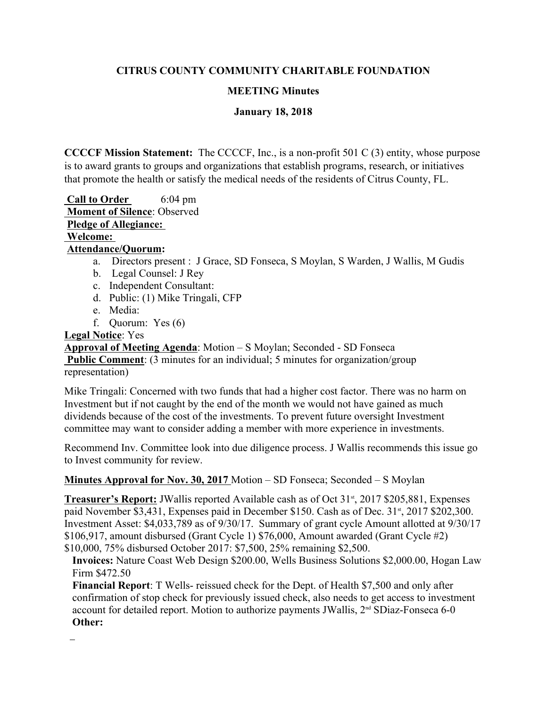# **CITRUS COUNTY COMMUNITY CHARITABLE FOUNDATION**

### **MEETING Minutes**

### **January 18, 2018**

 **CCCCF Mission Statement:** The CCCCF, Inc., is a non-profit 501 C (3) entity, whose purpose is to award grants to groups and organizations that establish programs, research, or initiatives that promote the health or satisfy the medical needs of the residents of Citrus County, FL.

**Call to Order** 6:04 pm **Moment of Silence**: Observed **Pledge of Allegiance: Welcome: Attendance/Quorum:** 

- a. Directors present : J Grace, SD Fonseca, S Moylan, S Warden, J Wallis, M Gudis
- b. Legal Counsel: J Rey
- c. Independent Consultant:
- d. Public: (1) Mike Tringali, CFP
- e. Media:
- f. Quorum: Yes (6)

#### **Legal Notice**: Yes

**Approval of Meeting Agenda**: Motion – S Moylan; Seconded - SD Fonseca **Public Comment**: (3 minutes for an individual; 5 minutes for organization/group representation)

Mike Tringali: Concerned with two funds that had a higher cost factor. There was no harm on Investment but if not caught by the end of the month we would not have gained as much dividends because of the cost of the investments. To prevent future oversight Investment committee may want to consider adding a member with more experience in investments.

Recommend Inv. Committee look into due diligence process. J Wallis recommends this issue go to Invest community for review.

#### **Minutes Approval for Nov. 30, 2017** Motion – SD Fonseca; Seconded – S Moylan

**Treasurer's Report:** JWallis reported Available cash as of Oct 31<sup>st</sup>, 2017 \$205,881, Expenses paid November \$3,431, Expenses paid in December \$150. Cash as of Dec.  $31<sup>st</sup>$ , 2017 \$202,300. Investment Asset: \$4,033,789 as of 9/30/17. Summary of grant cycle Amount allotted at 9/30/17 \$106,917, amount disbursed (Grant Cycle 1) \$76,000, Amount awarded (Grant Cycle #2) \$10,000, 75% disbursed October 2017: \$7,500, 25% remaining \$2,500.

**Invoices:** Nature Coast Web Design \$200.00, Wells Business Solutions \$2,000.00, Hogan Law Firm \$472.50

**Financial Report**: T Wells- reissued check for the Dept. of Health \$7,500 and only after confirmation of stop check for previously issued check, also needs to get access to investment account for detailed report. Motion to authorize payments JWallis, 2<sup>nd</sup> SDiaz-Fonseca 6-0 **Other:**